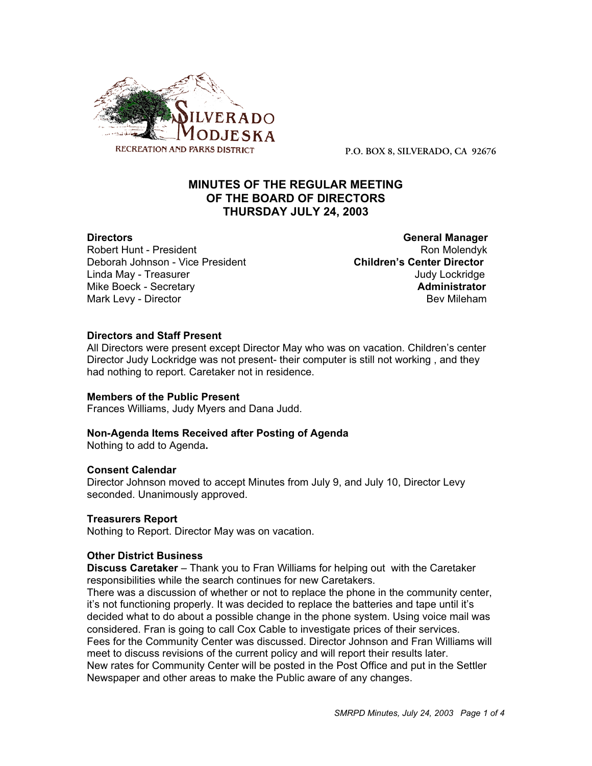

**P.O. BOX 8, SILVERADO, CA 92676**

# **MINUTES OF THE REGULAR MEETING OF THE BOARD OF DIRECTORS THURSDAY JULY 24, 2003**

Robert Hunt - President Ron Molendyk Ron Molendyk Deborah Johnson - Vice President **Children's Center Director** Linda May - Treasurer Judy Lockridge Mike Boeck - Secretary **Administrator** Mark Levy - Director **Bev Mileham Mark Levy - Director** Bev Mileham

**Directors General Manager**

# **Directors and Staff Present**

All Directors were present except Director May who was on vacation. Children's center Director Judy Lockridge was not present- their computer is still not working , and they had nothing to report. Caretaker not in residence.

### **Members of the Public Present**

Frances Williams, Judy Myers and Dana Judd.

### **Non-Agenda Items Received after Posting of Agenda**

Nothing to add to Agenda**.**

### **Consent Calendar**

Director Johnson moved to accept Minutes from July 9, and July 10, Director Levy seconded. Unanimously approved.

### **Treasurers Report**

Nothing to Report. Director May was on vacation.

### **Other District Business**

**Discuss Caretaker** – Thank you to Fran Williams for helping out with the Caretaker responsibilities while the search continues for new Caretakers.

There was a discussion of whether or not to replace the phone in the community center, it's not functioning properly. It was decided to replace the batteries and tape until it's decided what to do about a possible change in the phone system. Using voice mail was considered. Fran is going to call Cox Cable to investigate prices of their services. Fees for the Community Center was discussed. Director Johnson and Fran Williams will meet to discuss revisions of the current policy and will report their results later. New rates for Community Center will be posted in the Post Office and put in the Settler Newspaper and other areas to make the Public aware of any changes.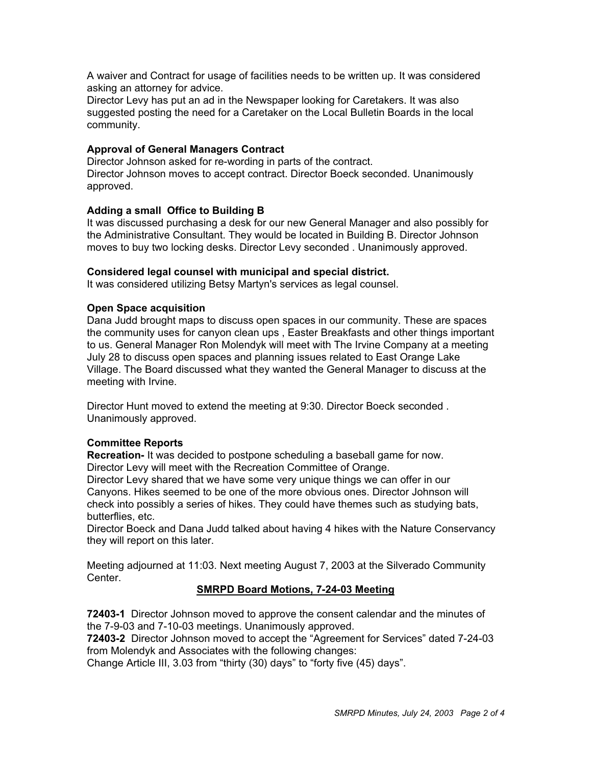A waiver and Contract for usage of facilities needs to be written up. It was considered asking an attorney for advice.

Director Levy has put an ad in the Newspaper looking for Caretakers. It was also suggested posting the need for a Caretaker on the Local Bulletin Boards in the local community.

# **Approval of General Managers Contract**

Director Johnson asked for re-wording in parts of the contract. Director Johnson moves to accept contract. Director Boeck seconded. Unanimously approved.

# **Adding a small Office to Building B**

It was discussed purchasing a desk for our new General Manager and also possibly for the Administrative Consultant. They would be located in Building B. Director Johnson moves to buy two locking desks. Director Levy seconded . Unanimously approved.

### **Considered legal counsel with municipal and special district.**

It was considered utilizing Betsy Martyn's services as legal counsel.

### **Open Space acquisition**

Dana Judd brought maps to discuss open spaces in our community. These are spaces the community uses for canyon clean ups , Easter Breakfasts and other things important to us. General Manager Ron Molendyk will meet with The Irvine Company at a meeting July 28 to discuss open spaces and planning issues related to East Orange Lake Village. The Board discussed what they wanted the General Manager to discuss at the meeting with Irvine.

Director Hunt moved to extend the meeting at 9:30. Director Boeck seconded . Unanimously approved.

### **Committee Reports**

**Recreation-** It was decided to postpone scheduling a baseball game for now. Director Levy will meet with the Recreation Committee of Orange.

Director Levy shared that we have some very unique things we can offer in our Canyons. Hikes seemed to be one of the more obvious ones. Director Johnson will check into possibly a series of hikes. They could have themes such as studying bats, butterflies, etc.

Director Boeck and Dana Judd talked about having 4 hikes with the Nature Conservancy they will report on this later.

Meeting adjourned at 11:03. Next meeting August 7, 2003 at the Silverado Community **Center** 

# **SMRPD Board Motions, 7-24-03 Meeting**

**72403-1** Director Johnson moved to approve the consent calendar and the minutes of the 7-9-03 and 7-10-03 meetings. Unanimously approved.

**72403-2** Director Johnson moved to accept the "Agreement for Services" dated 7-24-03 from Molendyk and Associates with the following changes:

Change Article III, 3.03 from "thirty (30) days" to "forty five (45) days".